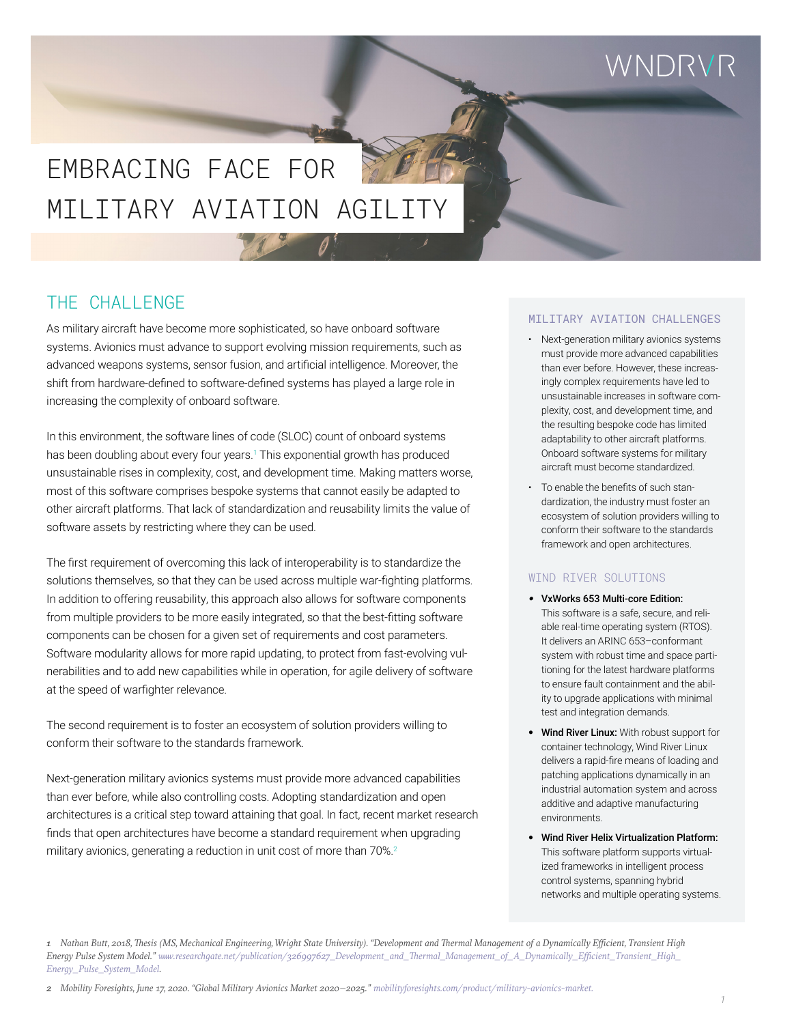## WNDRVR

# MILITARY AVIATION AGILIT EMBRACING FACE FOR

### THE CHALLENGE

As military aircraft have become more sophisticated, so have onboard software systems. Avionics must advance to support evolving mission requirements, such as advanced weapons systems, sensor fusion, and artificial intelligence. Moreover, the shift from hardware-defined to software-defined systems has played a large role in increasing the complexity of onboard software.

In this environment, the software lines of code (SLOC) count of onboard systems has been doubling about every four years.<sup>1</sup> This exponential growth has produced unsustainable rises in complexity, cost, and development time. Making matters worse, most of this software comprises bespoke systems that cannot easily be adapted to other aircraft platforms. That lack of standardization and reusability limits the value of software assets by restricting where they can be used.

The first requirement of overcoming this lack of interoperability is to standardize the solutions themselves, so that they can be used across multiple war-fighting platforms. In addition to offering reusability, this approach also allows for software components from multiple providers to be more easily integrated, so that the best-fitting software components can be chosen for a given set of requirements and cost parameters. Software modularity allows for more rapid updating, to protect from fast-evolving vulnerabilities and to add new capabilities while in operation, for agile delivery of software at the speed of warfighter relevance.

The second requirement is to foster an ecosystem of solution providers willing to conform their software to the standards framework.

Next-generation military avionics systems must provide more advanced capabilities than ever before, while also controlling costs. Adopting standardization and open architectures is a critical step toward attaining that goal. In fact, recent market research finds that open architectures have become a standard requirement when upgrading military avionics, generating a reduction in unit cost of more than 70%.<sup>2</sup>

#### MILITARY AVIATION CHALLENGES

- Next-generation military avionics systems must provide more advanced capabilities than ever before. However, these increasingly complex requirements have led to unsustainable increases in software complexity, cost, and development time, and the resulting bespoke code has limited adaptability to other aircraft platforms. Onboard software systems for military aircraft must become standardized.
- To enable the benefits of such standardization, the industry must foster an ecosystem of solution providers willing to conform their software to the standards framework and open architectures.

#### WIND RIVER SOLUTIONS

- *•* VxWorks 653 Multi-core Edition: This software is a safe, secure, and reliable real-time operating system (RTOS). It delivers an ARINC 653–conformant system with robust time and space partitioning for the latest hardware platforms to ensure fault containment and the ability to upgrade applications with minimal test and integration demands.
- Wind River Linux: With robust support for container technology, Wind River Linux delivers a rapid-fire means of loading and patching applications dynamically in an industrial automation system and across additive and adaptive manufacturing environments.
- Wind River Helix Virtualization Platform: This software platform supports virtualized frameworks in intelligent process control systems, spanning hybrid networks and multiple operating systems.

*<sup>1</sup> Nathan Butt, 2018, Thesis (MS, Mechanical Engineering, Wright State University). "Development and Thermal Management of a Dynamically Efficient, Transient High Energy Pulse System Model." [www.researchgate.net/publication/326997627\\_Development\\_and\\_Thermal\\_Management\\_of\\_A\\_Dynamically\\_Efficient\\_Transient\\_High\\_](http://www.researchgate.net/publication/326997627_Development_and_Thermal_Management_of_A_Dynamically_Efficient_Transient_High_Energy_Pulse_System_Model) [Energy\\_Pulse\\_System\\_Model](http://www.researchgate.net/publication/326997627_Development_and_Thermal_Management_of_A_Dynamically_Efficient_Transient_High_Energy_Pulse_System_Model).*

*<sup>2</sup> Mobility Foresights, June 17, 2020. "Global Military Avionics Market 2020–2025." [mobilityforesights.com/product/military-avionics-market](https://mobilityforesights.com/product/military-avionics-market).*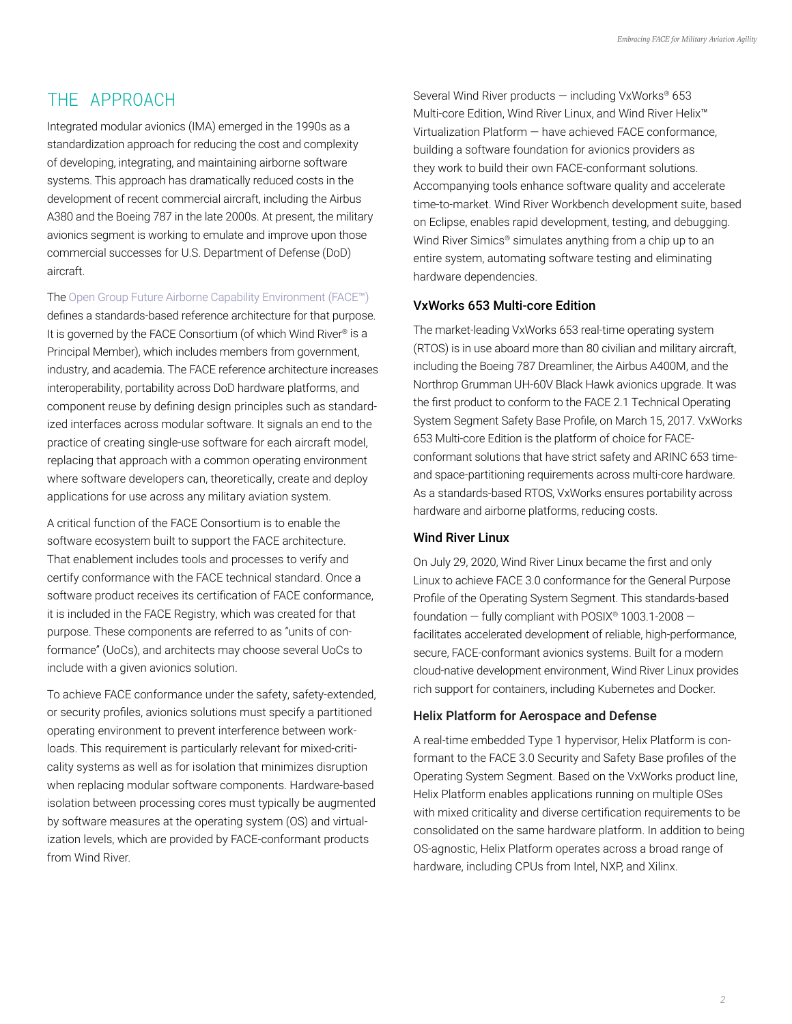### THE APPROACH

Integrated modular avionics (IMA) emerged in the 1990s as a standardization approach for reducing the cost and complexity of developing, integrating, and maintaining airborne software systems. This approach has dramatically reduced costs in the development of recent commercial aircraft, including the Airbus A380 and the Boeing 787 in the late 2000s. At present, the military avionics segment is working to emulate and improve upon those commercial successes for U.S. Department of Defense (DoD) aircraft.

The [Open Group Future Airborne Capability Environment \(FACE™\)](https://www.opengroup.org/face)

defines a standards-based reference architecture for that purpose. It is governed by the FACE Consortium (of which Wind River® is a Principal Member), which includes members from government, industry, and academia. The FACE reference architecture increases interoperability, portability across DoD hardware platforms, and component reuse by defining design principles such as standardized interfaces across modular software. It signals an end to the practice of creating single-use software for each aircraft model, replacing that approach with a common operating environment where software developers can, theoretically, create and deploy applications for use across any military aviation system.

A critical function of the FACE Consortium is to enable the software ecosystem built to support the FACE architecture. That enablement includes tools and processes to verify and certify conformance with the FACE technical standard. Once a software product receives its certification of FACE conformance, it is included in the FACE Registry, which was created for that purpose. These components are referred to as "units of conformance" (UoCs), and architects may choose several UoCs to include with a given avionics solution.

To achieve FACE conformance under the safety, safety-extended, or security profiles, avionics solutions must specify a partitioned operating environment to prevent interference between workloads. This requirement is particularly relevant for mixed-criticality systems as well as for isolation that minimizes disruption when replacing modular software components. Hardware-based isolation between processing cores must typically be augmented by software measures at the operating system (OS) and virtualization levels, which are provided by FACE-conformant products from Wind River.

Several Wind River products — including VxWorks® 653 Multi-core Edition, Wind River Linux, and Wind River Helix™ Virtualization Platform — have achieved FACE conformance, building a software foundation for avionics providers as they work to build their own FACE-conformant solutions. Accompanying tools enhance software quality and accelerate time-to-market. Wind River Workbench development suite, based on Eclipse, enables rapid development, testing, and debugging. Wind River Simics<sup>®</sup> simulates anything from a chip up to an entire system, automating software testing and eliminating hardware dependencies.

### VxWorks 653 Multi-core Edition

The market-leading VxWorks 653 real-time operating system (RTOS) is in use aboard more than 80 civilian and military aircraft, including the Boeing 787 Dreamliner, the Airbus A400M, and the Northrop Grumman UH-60V Black Hawk avionics upgrade. It was the first product to conform to the FACE 2.1 Technical Operating System Segment Safety Base Profile, on March 15, 2017. VxWorks 653 Multi-core Edition is the platform of choice for FACEconformant solutions that have strict safety and ARINC 653 timeand space-partitioning requirements across multi-core hardware. As a standards-based RTOS, VxWorks ensures portability across hardware and airborne platforms, reducing costs.

#### Wind River Linux

On July 29, 2020, Wind River Linux became the first and only Linux to achieve FACE 3.0 conformance for the General Purpose Profile of the Operating System Segment. This standards-based foundation  $-$  fully compliant with POSIX® 1003.1-2008  $$ facilitates accelerated development of reliable, high-performance, secure, FACE-conformant avionics systems. Built for a modern cloud-native development environment, Wind River Linux provides rich support for containers, including Kubernetes and Docker.

### Helix Platform for Aerospace and Defense

A real-time embedded Type 1 hypervisor, Helix Platform is conformant to the FACE 3.0 Security and Safety Base profiles of the Operating System Segment. Based on the VxWorks product line, Helix Platform enables applications running on multiple OSes with mixed criticality and diverse certification requirements to be consolidated on the same hardware platform. In addition to being OS-agnostic, Helix Platform operates across a broad range of hardware, including CPUs from Intel, NXP, and Xilinx.